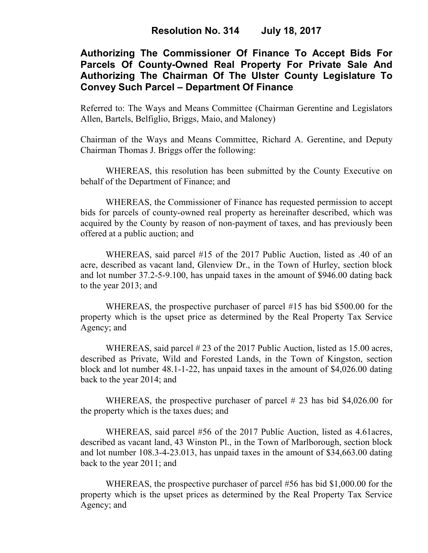# **Authorizing The Commissioner Of Finance To Accept Bids For Parcels Of County-Owned Real Property For Private Sale And Authorizing The Chairman Of The Ulster County Legislature To Convey Such Parcel – Department Of Finance**

Referred to: The Ways and Means Committee (Chairman Gerentine and Legislators Allen, Bartels, Belfiglio, Briggs, Maio, and Maloney)

Chairman of the Ways and Means Committee, Richard A. Gerentine, and Deputy Chairman Thomas J. Briggs offer the following:

WHEREAS, this resolution has been submitted by the County Executive on behalf of the Department of Finance; and

 WHEREAS, the Commissioner of Finance has requested permission to accept bids for parcels of county-owned real property as hereinafter described, which was acquired by the County by reason of non-payment of taxes, and has previously been offered at a public auction; and

WHEREAS, said parcel #15 of the 2017 Public Auction, listed as .40 of an acre, described as vacant land, Glenview Dr., in the Town of Hurley, section block and lot number 37.2-5-9.100, has unpaid taxes in the amount of \$946.00 dating back to the year 2013; and

WHEREAS, the prospective purchaser of parcel #15 has bid \$500.00 for the property which is the upset price as determined by the Real Property Tax Service Agency; and

WHEREAS, said parcel # 23 of the 2017 Public Auction, listed as 15.00 acres, described as Private, Wild and Forested Lands, in the Town of Kingston, section block and lot number 48.1-1-22, has unpaid taxes in the amount of \$4,026.00 dating back to the year 2014; and

WHEREAS, the prospective purchaser of parcel # 23 has bid \$4,026.00 for the property which is the taxes dues; and

WHEREAS, said parcel #56 of the 2017 Public Auction, listed as 4.61acres, described as vacant land, 43 Winston Pl., in the Town of Marlborough, section block and lot number 108.3-4-23.013, has unpaid taxes in the amount of \$34,663.00 dating back to the year 2011; and

WHEREAS, the prospective purchaser of parcel #56 has bid \$1,000.00 for the property which is the upset prices as determined by the Real Property Tax Service Agency; and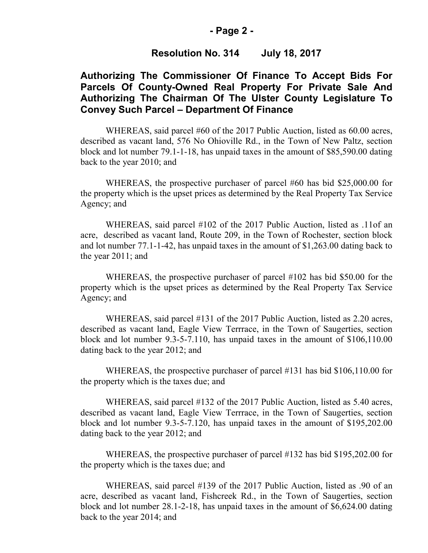#### **- Page 2 -**

### **Resolution No. 314 July 18, 2017**

# **Authorizing The Commissioner Of Finance To Accept Bids For Parcels Of County-Owned Real Property For Private Sale And Authorizing The Chairman Of The Ulster County Legislature To Convey Such Parcel – Department Of Finance**

WHEREAS, said parcel #60 of the 2017 Public Auction, listed as 60.00 acres, described as vacant land, 576 No Ohioville Rd., in the Town of New Paltz, section block and lot number 79.1-1-18, has unpaid taxes in the amount of \$85,590.00 dating back to the year 2010; and

WHEREAS, the prospective purchaser of parcel #60 has bid \$25,000.00 for the property which is the upset prices as determined by the Real Property Tax Service Agency; and

WHEREAS, said parcel #102 of the 2017 Public Auction, listed as .11of an acre, described as vacant land, Route 209, in the Town of Rochester, section block and lot number 77.1-1-42, has unpaid taxes in the amount of \$1,263.00 dating back to the year 2011; and

WHEREAS, the prospective purchaser of parcel #102 has bid \$50.00 for the property which is the upset prices as determined by the Real Property Tax Service Agency; and

WHEREAS, said parcel #131 of the 2017 Public Auction, listed as 2.20 acres, described as vacant land, Eagle View Terrrace, in the Town of Saugerties, section block and lot number 9.3-5-7.110, has unpaid taxes in the amount of \$106,110.00 dating back to the year 2012; and

WHEREAS, the prospective purchaser of parcel #131 has bid \$106,110.00 for the property which is the taxes due; and

WHEREAS, said parcel #132 of the 2017 Public Auction, listed as 5.40 acres, described as vacant land, Eagle View Terrrace, in the Town of Saugerties, section block and lot number 9.3-5-7.120, has unpaid taxes in the amount of \$195,202.00 dating back to the year 2012; and

WHEREAS, the prospective purchaser of parcel #132 has bid \$195,202.00 for the property which is the taxes due; and

 WHEREAS, said parcel #139 of the 2017 Public Auction, listed as .90 of an acre, described as vacant land, Fishcreek Rd., in the Town of Saugerties, section block and lot number 28.1-2-18, has unpaid taxes in the amount of \$6,624.00 dating back to the year 2014; and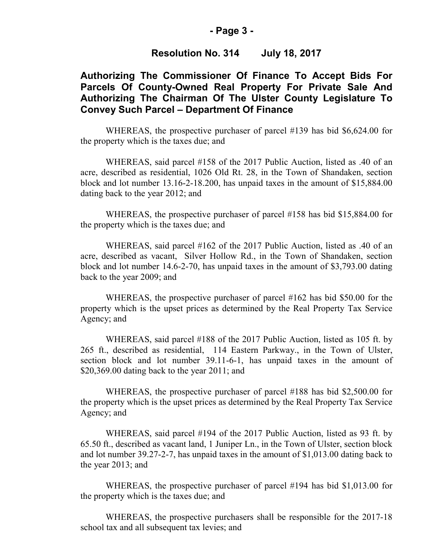#### **- Page 3 -**

## **Resolution No. 314 July 18, 2017**

# **Authorizing The Commissioner Of Finance To Accept Bids For Parcels Of County-Owned Real Property For Private Sale And Authorizing The Chairman Of The Ulster County Legislature To Convey Such Parcel – Department Of Finance**

WHEREAS, the prospective purchaser of parcel #139 has bid \$6,624.00 for the property which is the taxes due; and

WHEREAS, said parcel #158 of the 2017 Public Auction, listed as .40 of an acre, described as residential, 1026 Old Rt. 28, in the Town of Shandaken, section block and lot number 13.16-2-18.200, has unpaid taxes in the amount of \$15,884.00 dating back to the year 2012; and

WHEREAS, the prospective purchaser of parcel #158 has bid \$15,884.00 for the property which is the taxes due; and

WHEREAS, said parcel #162 of the 2017 Public Auction, listed as .40 of an acre, described as vacant, Silver Hollow Rd., in the Town of Shandaken, section block and lot number 14.6-2-70, has unpaid taxes in the amount of \$3,793.00 dating back to the year 2009; and

WHEREAS, the prospective purchaser of parcel #162 has bid \$50.00 for the property which is the upset prices as determined by the Real Property Tax Service Agency; and

WHEREAS, said parcel #188 of the 2017 Public Auction, listed as 105 ft. by 265 ft., described as residential, 114 Eastern Parkway., in the Town of Ulster, section block and lot number 39.11-6-1, has unpaid taxes in the amount of \$20,369.00 dating back to the year 2011; and

WHEREAS, the prospective purchaser of parcel #188 has bid \$2,500.00 for the property which is the upset prices as determined by the Real Property Tax Service Agency; and

WHEREAS, said parcel #194 of the 2017 Public Auction, listed as 93 ft. by 65.50 ft., described as vacant land, 1 Juniper Ln., in the Town of Ulster, section block and lot number 39.27-2-7, has unpaid taxes in the amount of \$1,013.00 dating back to the year 2013; and

WHEREAS, the prospective purchaser of parcel #194 has bid \$1,013.00 for the property which is the taxes due; and

 WHEREAS, the prospective purchasers shall be responsible for the 2017-18 school tax and all subsequent tax levies; and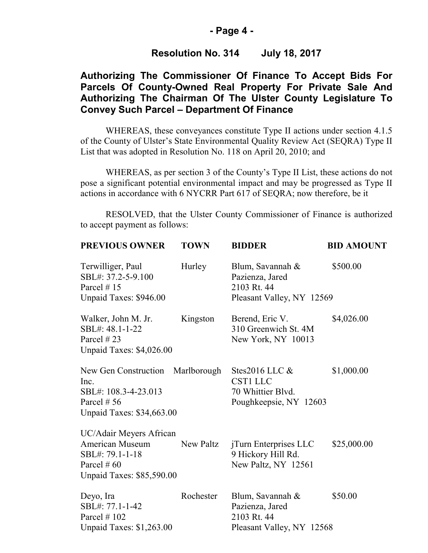#### **- Page 4 -**

### **Resolution No. 314 July 18, 2017**

# **Authorizing The Commissioner Of Finance To Accept Bids For Parcels Of County-Owned Real Property For Private Sale And Authorizing The Chairman Of The Ulster County Legislature To Convey Such Parcel – Department Of Finance**

WHEREAS, these conveyances constitute Type II actions under section 4.1.5 of the County of Ulster's State Environmental Quality Review Act (SEQRA) Type II List that was adopted in Resolution No. 118 on April 20, 2010; and

 WHEREAS, as per section 3 of the County's Type II List, these actions do not pose a significant potential environmental impact and may be progressed as Type II actions in accordance with 6 NYCRR Part 617 of SEQRA; now therefore, be it

RESOLVED, that the Ulster County Commissioner of Finance is authorized to accept payment as follows:

| <b>PREVIOUS OWNER</b>                                                                                                     | <b>TOWN</b> | <b>BIDDER</b>                                                                       | <b>BID AMOUNT</b> |
|---------------------------------------------------------------------------------------------------------------------------|-------------|-------------------------------------------------------------------------------------|-------------------|
| Terwilliger, Paul<br>SBL#: 37.2-5-9.100<br>Parcel $# 15$<br>Unpaid Taxes: \$946.00                                        | Hurley      | Blum, Savannah &<br>Pazienza, Jared<br>2103 Rt. 44<br>Pleasant Valley, NY 12569     | \$500.00          |
| Walker, John M. Jr.<br>SBL#: 48.1-1-22<br>Parcel $#23$<br>Unpaid Taxes: \$4,026.00                                        | Kingston    | Berend, Eric V.<br>310 Greenwich St. 4M<br>New York, NY 10013                       | \$4,026.00        |
| New Gen Construction<br>Inc.<br>SBL#: 108.3-4-23.013<br>Parcel $# 56$<br>Unpaid Taxes: \$34,663.00                        | Marlborough | Stes2016 LLC $\&$<br><b>CST1 LLC</b><br>70 Whittier Blyd.<br>Poughkeepsie, NY 12603 | \$1,000.00        |
| UC/Adair Meyers African<br><b>American Museum</b><br>SBL#: 79.1-1-18<br>Parcel # $60$<br><b>Unpaid Taxes: \$85,590.00</b> | New Paltz   | jTurn Enterprises LLC<br>9 Hickory Hill Rd.<br>New Paltz, NY 12561                  | \$25,000.00       |
| Deyo, Ira<br>SBL#: 77.1-1-42<br>Parcel $# 102$<br><b>Unpaid Taxes: \$1,263.00</b>                                         | Rochester   | Blum, Savannah &<br>Pazienza, Jared<br>2103 Rt. 44<br>Pleasant Valley, NY 12568     | \$50.00           |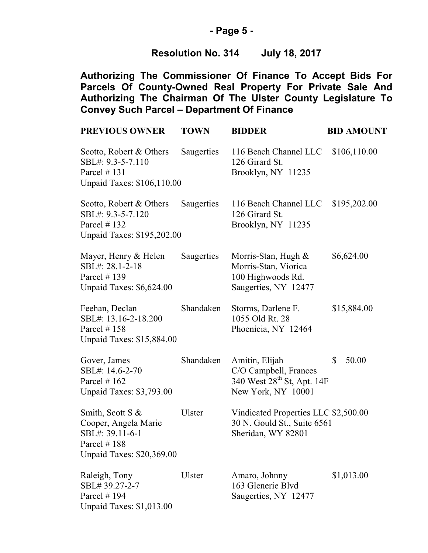## **- Page 5 -**

# **Resolution No. 314 July 18, 2017**

**Authorizing The Commissioner Of Finance To Accept Bids For Parcels Of County-Owned Real Property For Private Sale And Authorizing The Chairman Of The Ulster County Legislature To Convey Such Parcel – Department Of Finance**

| <b>PREVIOUS OWNER</b>                                                                                     | <b>TOWN</b>   | <b>BIDDER</b>                                                                                           | <b>BID AMOUNT</b>     |
|-----------------------------------------------------------------------------------------------------------|---------------|---------------------------------------------------------------------------------------------------------|-----------------------|
| Scotto, Robert & Others<br>SBL#: 9.3-5-7.110<br>Parcel $# 131$<br>Unpaid Taxes: \$106,110.00              | Saugerties    | 116 Beach Channel LLC<br>126 Girard St.<br>Brooklyn, NY 11235                                           | \$106,110.00          |
| Scotto, Robert & Others<br>SBL#: 9.3-5-7.120<br>Parcel $# 132$<br>Unpaid Taxes: \$195,202.00              | Saugerties    | 116 Beach Channel LLC<br>126 Girard St.<br>Brooklyn, NY 11235                                           | \$195,202.00          |
| Mayer, Henry & Helen<br>SBL#: 28.1-2-18<br>Parcel $# 139$<br>Unpaid Taxes: \$6,624.00                     | Saugerties    | Morris-Stan, Hugh $\&$<br>Morris-Stan, Viorica<br>100 Highwoods Rd.<br>Saugerties, NY 12477             | \$6,624.00            |
| Feehan, Declan<br>SBL#: 13.16-2-18.200<br>Parcel $# 158$<br>Unpaid Taxes: \$15,884.00                     | Shandaken     | Storms, Darlene F.<br>1055 Old Rt. 28<br>Phoenicia, NY 12464                                            | \$15,884.00           |
| Gover, James<br>SBL#: 14.6-2-70<br>Parcel $#162$<br>Unpaid Taxes: \$3,793.00                              | Shandaken     | Amitin, Elijah<br>C/O Campbell, Frances<br>340 West 28 <sup>th</sup> St, Apt. 14F<br>New York, NY 10001 | $\mathbb{S}$<br>50.00 |
| Smith, Scott S &<br>Cooper, Angela Marie<br>SBL#: 39.11-6-1<br>Parcel $#188$<br>Unpaid Taxes: \$20,369.00 | Ulster        | Vindicated Properties LLC \$2,500.00<br>30 N. Gould St., Suite 6561<br>Sheridan, WY 82801               |                       |
| Raleigh, Tony<br>SBL#39.27-2-7<br>Parcel $# 194$<br><b>Unpaid Taxes: \$1,013.00</b>                       | <b>Ulster</b> | Amaro, Johnny<br>163 Glenerie Blyd<br>Saugerties, NY 12477                                              | \$1,013.00            |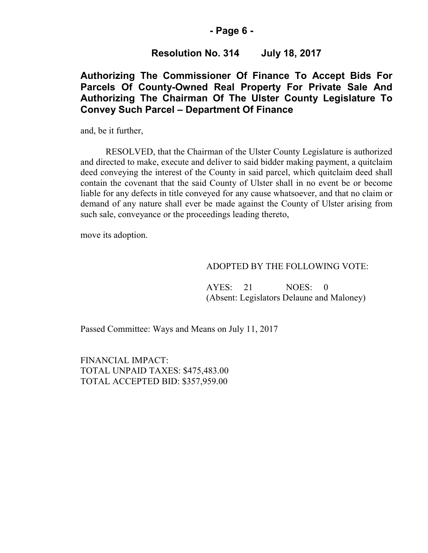#### **- Page 6 -**

## **Resolution No. 314 July 18, 2017**

# **Authorizing The Commissioner Of Finance To Accept Bids For Parcels Of County-Owned Real Property For Private Sale And Authorizing The Chairman Of The Ulster County Legislature To Convey Such Parcel – Department Of Finance**

and, be it further,

RESOLVED, that the Chairman of the Ulster County Legislature is authorized and directed to make, execute and deliver to said bidder making payment, a quitclaim deed conveying the interest of the County in said parcel, which quitclaim deed shall contain the covenant that the said County of Ulster shall in no event be or become liable for any defects in title conveyed for any cause whatsoever, and that no claim or demand of any nature shall ever be made against the County of Ulster arising from such sale, conveyance or the proceedings leading thereto,

move its adoption.

#### ADOPTED BY THE FOLLOWING VOTE:

AYES: 21 NOES: 0 (Absent: Legislators Delaune and Maloney)

Passed Committee: Ways and Means on July 11, 2017

FINANCIAL IMPACT: TOTAL UNPAID TAXES: \$475,483.00 TOTAL ACCEPTED BID: \$357,959.00